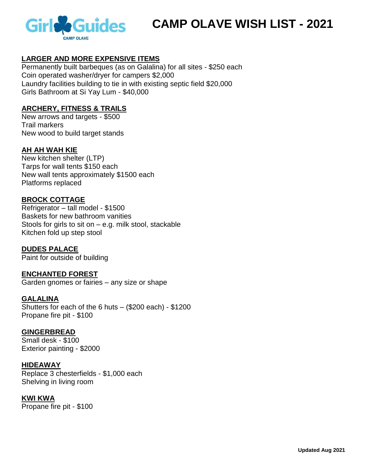

# **CAMP OLAVE WISH LIST - 2021**

# **LARGER AND MORE EXPENSIVE ITEMS**

Permanently built barbeques (as on Galalina) for all sites - \$250 each Coin operated washer/dryer for campers \$2,000 Laundry facilities building to tie in with existing septic field \$20,000 Girls Bathroom at Si Yay Lum - \$40,000

#### **ARCHERY, FITNESS & TRAILS**

New arrows and targets - \$500 Trail markers New wood to build target stands

#### **AH AH WAH KIE**

New kitchen shelter (LTP) Tarps for wall tents \$150 each New wall tents approximately \$1500 each Platforms replaced

#### **BROCK COTTAGE**

Refrigerator – tall model - \$1500 Baskets for new bathroom vanities Stools for girls to sit on – e.g. milk stool, stackable Kitchen fold up step stool

**DUDES PALACE** Paint for outside of building

**ENCHANTED FOREST** Garden gnomes or fairies – any size or shape

**GALALINA** Shutters for each of the 6 huts – (\$200 each) - \$1200 Propane fire pit - \$100

#### **GINGERBREAD** Small desk - \$100 Exterior painting - \$2000

**HIDEAWAY** Replace 3 chesterfields - \$1,000 each Shelving in living room

#### **KWI KWA**

Propane fire pit - \$100